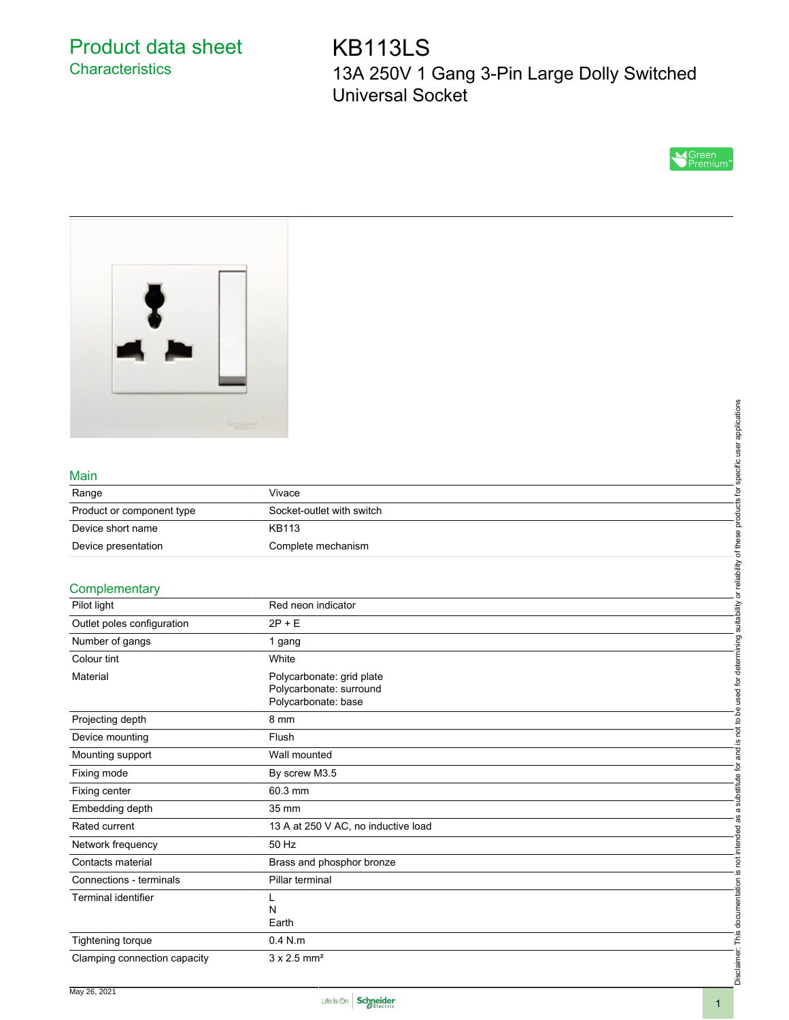# Product data sheet **Characteristics**

KB113LS 13A 250V 1 Gang 3-Pin Large Dolly Switched Universal Socket





#### Main

|                           | Seignaidar                | applications       |
|---------------------------|---------------------------|--------------------|
|                           |                           |                    |
| Main                      |                           | ecific<br>$\sigma$ |
| Range                     | Vivace                    | ਨ                  |
| Product or component type | Socket-outlet with switch | τ                  |
| Device short name         | <b>KB113</b>              |                    |
| Device presentation       | Complete mechanism        |                    |
| Complementary             |                           | eliability         |
| Pilot light               | Red neon indicator        | 首                  |

### **Complementary**

|                              | Scippeldar                          |                                       |
|------------------------------|-------------------------------------|---------------------------------------|
|                              |                                     | specific user applications            |
|                              |                                     |                                       |
| Main                         |                                     |                                       |
| Range                        | Vivace                              |                                       |
| Product or component type    | Socket-outlet with switch           |                                       |
| Device short name            | <b>KB113</b>                        |                                       |
| Device presentation          | Complete mechanism                  |                                       |
|                              |                                     | or reliability of these products for  |
| Complementary                |                                     |                                       |
| Pilot light                  | Red neon indicator                  |                                       |
| Outlet poles configuration   | $2P + E$                            | suitability                           |
| Number of gangs              | 1 gang                              |                                       |
| Colour tint                  | White                               |                                       |
| Material                     | Polycarbonate: grid plate           |                                       |
|                              | Polycarbonate: surround             |                                       |
|                              | Polycarbonate: base                 |                                       |
| Projecting depth             | 8 mm                                | and is not to be used for determining |
| Device mounting              | Flush                               |                                       |
| Mounting support             | Wall mounted                        |                                       |
| Fixing mode                  | By screw M3.5                       | substitute for                        |
| Fixing center                | 60.3 mm                             |                                       |
| Embedding depth              | 35 mm                               | $\varpi$                              |
| Rated current                | 13 A at 250 V AC, no inductive load |                                       |
| Network frequency            | 50 Hz                               | not intended as                       |
| Contacts material            | Brass and phosphor bronze           |                                       |
| Connections - terminals      | Pillar terminal                     |                                       |
| <b>Terminal identifier</b>   | L                                   |                                       |
|                              | N<br>Earth                          |                                       |
|                              |                                     | Disclaimer: This documentation is     |
| Tightening torque            | $0.4$ N.m                           |                                       |
| Clamping connection capacity | $3 \times 2.5$ mm <sup>2</sup>      |                                       |
|                              |                                     |                                       |